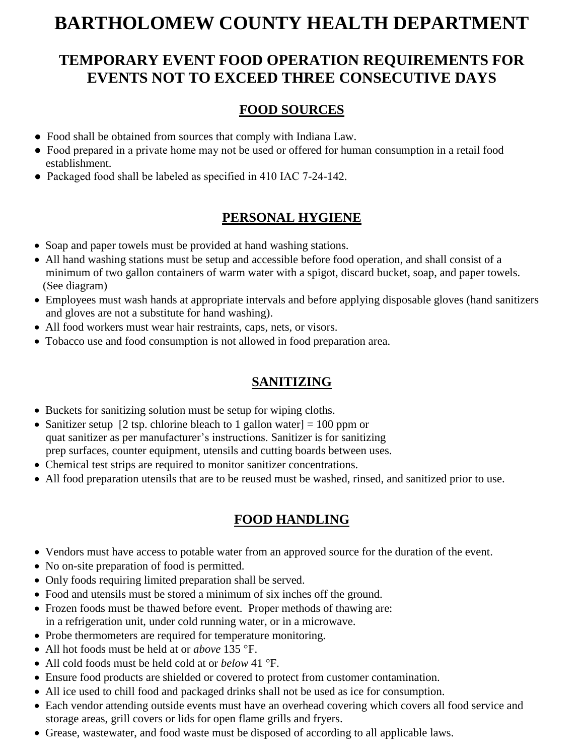# **BARTHOLOMEW COUNTY HEALTH DEPARTMENT**

## **TEMPORARY EVENT FOOD OPERATION REQUIREMENTS FOR EVENTS NOT TO EXCEED THREE CONSECUTIVE DAYS**

#### **FOOD SOURCES**

- ●Food shall be obtained from sources that comply with Indiana Law.
- Food prepared in a private home may not be used or offered for human consumption in a retail food establishment.
- Packaged food shall be labeled as specified in 410 IAC 7-24-142.

### **PERSONAL HYGIENE**

- Soap and paper towels must be provided at hand washing stations.
- All hand washing stations must be setup and accessible before food operation, and shall consist of a minimum of two gallon containers of warm water with a spigot, discard bucket, soap, and paper towels. (See diagram)
- Employees must wash hands at appropriate intervals and before applying disposable gloves (hand sanitizers and gloves are not a substitute for hand washing).
- All food workers must wear hair restraints, caps, nets, or visors.
- Tobacco use and food consumption is not allowed in food preparation area.

#### **SANITIZING**

- Buckets for sanitizing solution must be setup for wiping cloths.
- Sanitizer setup [2 tsp. chlorine bleach to 1 gallon water] = 100 ppm or quat sanitizer as per manufacturer's instructions. Sanitizer is for sanitizing prep surfaces, counter equipment, utensils and cutting boards between uses.
- Chemical test strips are required to monitor sanitizer concentrations.
- All food preparation utensils that are to be reused must be washed, rinsed, and sanitized prior to use.

#### **FOOD HANDLING**

- Vendors must have access to potable water from an approved source for the duration of the event.
- No on-site preparation of food is permitted.
- Only foods requiring limited preparation shall be served.
- Food and utensils must be stored a minimum of six inches off the ground.
- Frozen foods must be thawed before event. Proper methods of thawing are: in a refrigeration unit, under cold running water, or in a microwave.
- Probe thermometers are required for temperature monitoring.
- All hot foods must be held at or *above* 135 °F.
- All cold foods must be held cold at or *below* 41 °F.
- Ensure food products are shielded or covered to protect from customer contamination.
- All ice used to chill food and packaged drinks shall not be used as ice for consumption.
- Each vendor attending outside events must have an overhead covering which covers all food service and storage areas, grill covers or lids for open flame grills and fryers.
- Grease, wastewater, and food waste must be disposed of according to all applicable laws.